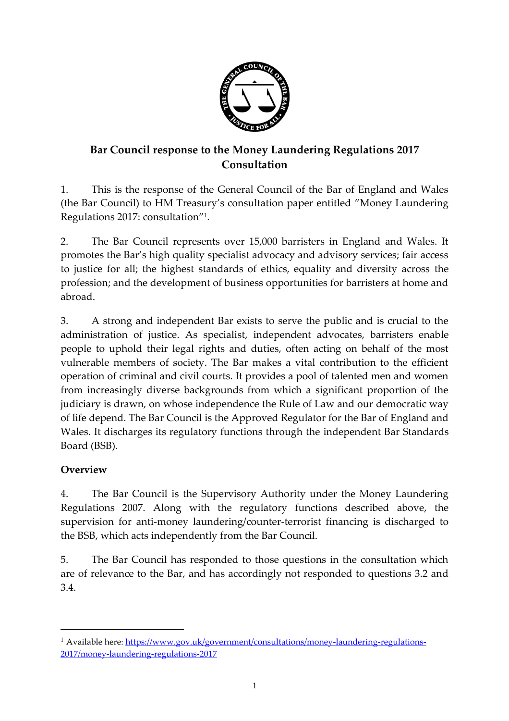

# **Bar Council response to the Money Laundering Regulations 2017 Consultation**

1. This is the response of the General Council of the Bar of England and Wales (the Bar Council) to HM Treasury's consultation paper entitled "Money Laundering Regulations 2017: consultation"<sup>1</sup> .

2. The Bar Council represents over 15,000 barristers in England and Wales. It promotes the Bar's high quality specialist advocacy and advisory services; fair access to justice for all; the highest standards of ethics, equality and diversity across the profession; and the development of business opportunities for barristers at home and abroad.

3. A strong and independent Bar exists to serve the public and is crucial to the administration of justice. As specialist, independent advocates, barristers enable people to uphold their legal rights and duties, often acting on behalf of the most vulnerable members of society. The Bar makes a vital contribution to the efficient operation of criminal and civil courts. It provides a pool of talented men and women from increasingly diverse backgrounds from which a significant proportion of the judiciary is drawn, on whose independence the Rule of Law and our democratic way of life depend. The Bar Council is the Approved Regulator for the Bar of England and Wales. It discharges its regulatory functions through the independent Bar Standards Board (BSB).

#### **Overview**

 $\overline{a}$ 

4. The Bar Council is the Supervisory Authority under the Money Laundering Regulations 2007. Along with the regulatory functions described above, the supervision for anti-money laundering/counter-terrorist financing is discharged to the BSB, which acts independently from the Bar Council.

5. The Bar Council has responded to those questions in the consultation which are of relevance to the Bar, and has accordingly not responded to questions 3.2 and 3.4.

<sup>&</sup>lt;sup>1</sup> Available here[: https://www.gov.uk/government/consultations/money-laundering-regulations-](https://www.gov.uk/government/consultations/money-laundering-regulations-2017/money-laundering-regulations-2017)[2017/money-laundering-regulations-2017](https://www.gov.uk/government/consultations/money-laundering-regulations-2017/money-laundering-regulations-2017)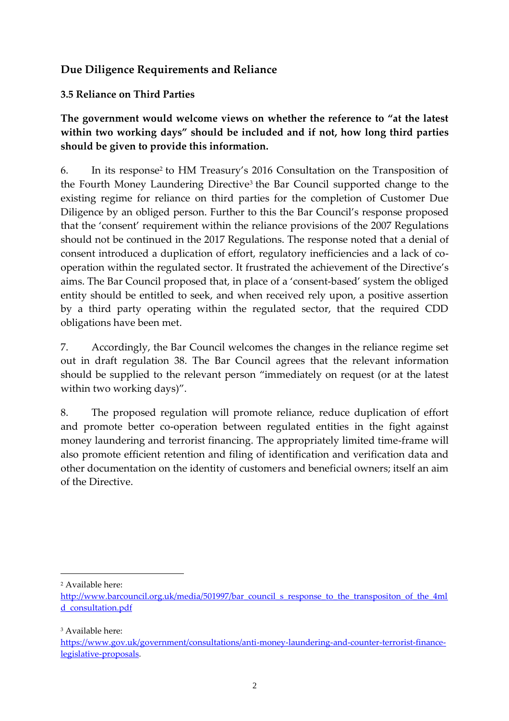## **Due Diligence Requirements and Reliance**

**3.5 Reliance on Third Parties**

**The government would welcome views on whether the reference to "at the latest within two working days" should be included and if not, how long third parties should be given to provide this information.**

6. In its response<sup>2</sup> to HM Treasury's 2016 Consultation on the Transposition of the Fourth Money Laundering Directive<sup>3</sup> the Bar Council supported change to the existing regime for reliance on third parties for the completion of Customer Due Diligence by an obliged person. Further to this the Bar Council's response proposed that the 'consent' requirement within the reliance provisions of the 2007 Regulations should not be continued in the 2017 Regulations. The response noted that a denial of consent introduced a duplication of effort, regulatory inefficiencies and a lack of cooperation within the regulated sector. It frustrated the achievement of the Directive's aims. The Bar Council proposed that, in place of a 'consent-based' system the obliged entity should be entitled to seek, and when received rely upon, a positive assertion by a third party operating within the regulated sector, that the required CDD obligations have been met.

7. Accordingly, the Bar Council welcomes the changes in the reliance regime set out in draft regulation 38. The Bar Council agrees that the relevant information should be supplied to the relevant person "immediately on request (or at the latest within two working days)".

8. The proposed regulation will promote reliance, reduce duplication of effort and promote better co-operation between regulated entities in the fight against money laundering and terrorist financing. The appropriately limited time-frame will also promote efficient retention and filing of identification and verification data and other documentation on the identity of customers and beneficial owners; itself an aim of the Directive.

<sup>2</sup> Available here:

 $\overline{a}$ 

<sup>3</sup> Available here:

[http://www.barcouncil.org.uk/media/501997/bar\\_council\\_s\\_response\\_to\\_the\\_transpositon\\_of\\_the\\_4ml](http://www.barcouncil.org.uk/media/501997/bar_council_s_response_to_the_transpositon_of_the_4mld_consultation.pdf) [d\\_consultation.pdf](http://www.barcouncil.org.uk/media/501997/bar_council_s_response_to_the_transpositon_of_the_4mld_consultation.pdf)

[https://www.gov.uk/government/consultations/anti-money-laundering-and-counter-terrorist-finance](https://www.gov.uk/government/consultations/anti-money-laundering-and-counter-terrorist-finance-legislative-proposals)[legislative-proposals.](https://www.gov.uk/government/consultations/anti-money-laundering-and-counter-terrorist-finance-legislative-proposals)